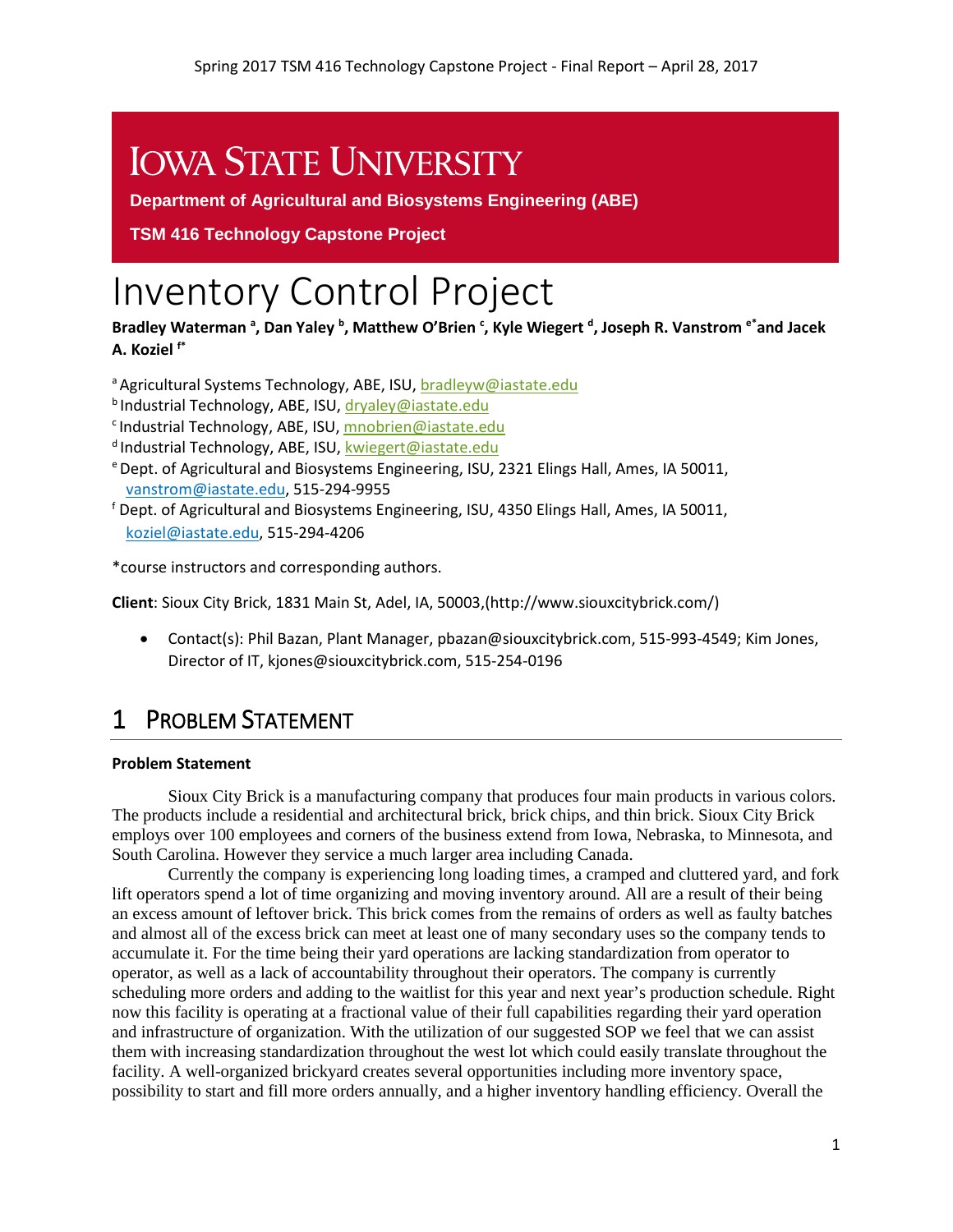# **IOWA STATE UNIVERSITY**

**Department of Agricultural and Biosystems Engineering (ABE)**

**TSM 416 Technology Capstone Project** 

# Inventory Control Project

Bradley Waterman<sup>a</sup>, Dan Yaley <sup>b</sup>, Matthew O'Brien <sup>c</sup>, Kyle Wiegert <sup>d</sup>, Joseph R. Vanstrom <sup>e\*</sup>and Jacek **A. Koziel f\***

a Agricultural Systems Technology, ABE, ISU, [bradleyw@iastate.edu](mailto:bradleyw@iastate.edu)

- **b** Industrial Technology, ABE, ISU[, dryaley@iastate.edu](mailto:dryaley@iastate.edu)
- c Industrial Technology, ABE, ISU, [mnobrien@iastate.edu](mailto:mnobrien@iastate.edu)
- <sup>d</sup> Industrial Technology, ABE, ISU[, kwiegert@iastate.edu](mailto:kwiegert@iastate.edu)
- e Dept. of Agricultural and Biosystems Engineering, ISU, 2321 Elings Hall, Ames, IA 50011, [vanstrom@iastate.edu,](mailto:vanstrom@iastate.edu) 515-294-9955
- <sup>f</sup> Dept. of Agricultural and Biosystems Engineering, ISU, 4350 Elings Hall, Ames, IA 50011, [koziel@iastate.edu,](mailto:koziel@iastate.edu) 515-294-4206

\*course instructors and corresponding authors.

**Client**: Sioux City Brick, 1831 Main St, Adel, IA, 50003,(http://www.siouxcitybrick.com/)

• Contact(s): Phil Bazan, Plant Manager, pbazan@siouxcitybrick.com, 515-993-4549; Kim Jones, Director of IT, kjones@siouxcitybrick.com, 515-254-0196

# 1 PROBLEM STATEMENT

#### **Problem Statement**

Sioux City Brick is a manufacturing company that produces four main products in various colors. The products include a residential and architectural brick, brick chips, and thin brick. Sioux City Brick employs over 100 employees and corners of the business extend from Iowa, Nebraska, to Minnesota, and South Carolina. However they service a much larger area including Canada.

Currently the company is experiencing long loading times, a cramped and cluttered yard, and fork lift operators spend a lot of time organizing and moving inventory around. All are a result of their being an excess amount of leftover brick. This brick comes from the remains of orders as well as faulty batches and almost all of the excess brick can meet at least one of many secondary uses so the company tends to accumulate it. For the time being their yard operations are lacking standardization from operator to operator, as well as a lack of accountability throughout their operators. The company is currently scheduling more orders and adding to the waitlist for this year and next year's production schedule. Right now this facility is operating at a fractional value of their full capabilities regarding their yard operation and infrastructure of organization. With the utilization of our suggested SOP we feel that we can assist them with increasing standardization throughout the west lot which could easily translate throughout the facility. A well-organized brickyard creates several opportunities including more inventory space, possibility to start and fill more orders annually, and a higher inventory handling efficiency. Overall the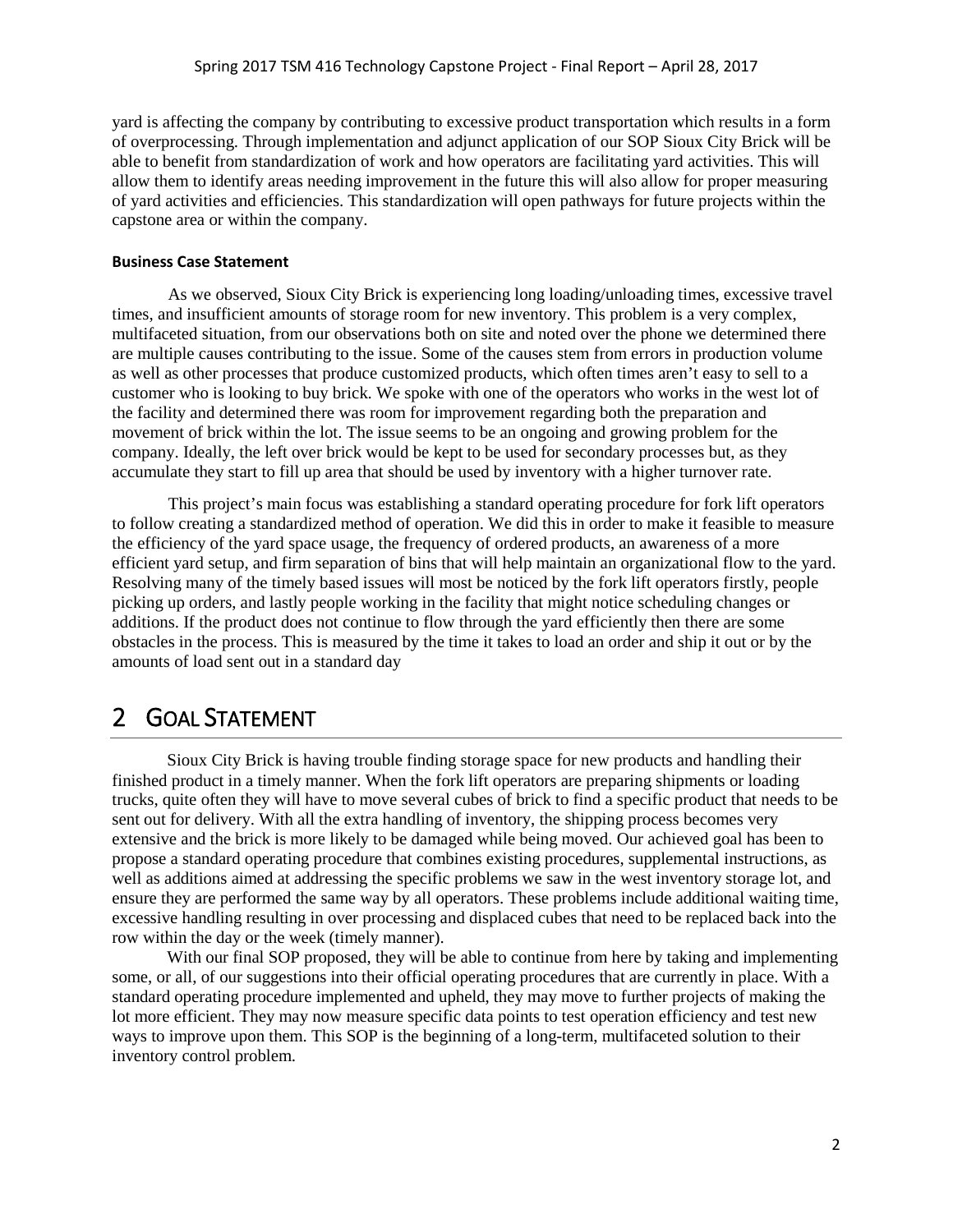yard is affecting the company by contributing to excessive product transportation which results in a form of overprocessing. Through implementation and adjunct application of our SOP Sioux City Brick will be able to benefit from standardization of work and how operators are facilitating yard activities. This will allow them to identify areas needing improvement in the future this will also allow for proper measuring of yard activities and efficiencies. This standardization will open pathways for future projects within the capstone area or within the company.

#### **Business Case Statement**

As we observed, Sioux City Brick is experiencing long loading/unloading times, excessive travel times, and insufficient amounts of storage room for new inventory. This problem is a very complex, multifaceted situation, from our observations both on site and noted over the phone we determined there are multiple causes contributing to the issue. Some of the causes stem from errors in production volume as well as other processes that produce customized products, which often times aren't easy to sell to a customer who is looking to buy brick. We spoke with one of the operators who works in the west lot of the facility and determined there was room for improvement regarding both the preparation and movement of brick within the lot. The issue seems to be an ongoing and growing problem for the company. Ideally, the left over brick would be kept to be used for secondary processes but, as they accumulate they start to fill up area that should be used by inventory with a higher turnover rate.

This project's main focus was establishing a standard operating procedure for fork lift operators to follow creating a standardized method of operation. We did this in order to make it feasible to measure the efficiency of the yard space usage, the frequency of ordered products, an awareness of a more efficient yard setup, and firm separation of bins that will help maintain an organizational flow to the yard. Resolving many of the timely based issues will most be noticed by the fork lift operators firstly, people picking up orders, and lastly people working in the facility that might notice scheduling changes or additions. If the product does not continue to flow through the yard efficiently then there are some obstacles in the process. This is measured by the time it takes to load an order and ship it out or by the amounts of load sent out in a standard day

### 2 GOAL STATEMENT

Sioux City Brick is having trouble finding storage space for new products and handling their finished product in a timely manner. When the fork lift operators are preparing shipments or loading trucks, quite often they will have to move several cubes of brick to find a specific product that needs to be sent out for delivery. With all the extra handling of inventory, the shipping process becomes very extensive and the brick is more likely to be damaged while being moved. Our achieved goal has been to propose a standard operating procedure that combines existing procedures, supplemental instructions, as well as additions aimed at addressing the specific problems we saw in the west inventory storage lot, and ensure they are performed the same way by all operators. These problems include additional waiting time, excessive handling resulting in over processing and displaced cubes that need to be replaced back into the row within the day or the week (timely manner).

With our final SOP proposed, they will be able to continue from here by taking and implementing some, or all, of our suggestions into their official operating procedures that are currently in place. With a standard operating procedure implemented and upheld, they may move to further projects of making the lot more efficient. They may now measure specific data points to test operation efficiency and test new ways to improve upon them. This SOP is the beginning of a long-term, multifaceted solution to their inventory control problem.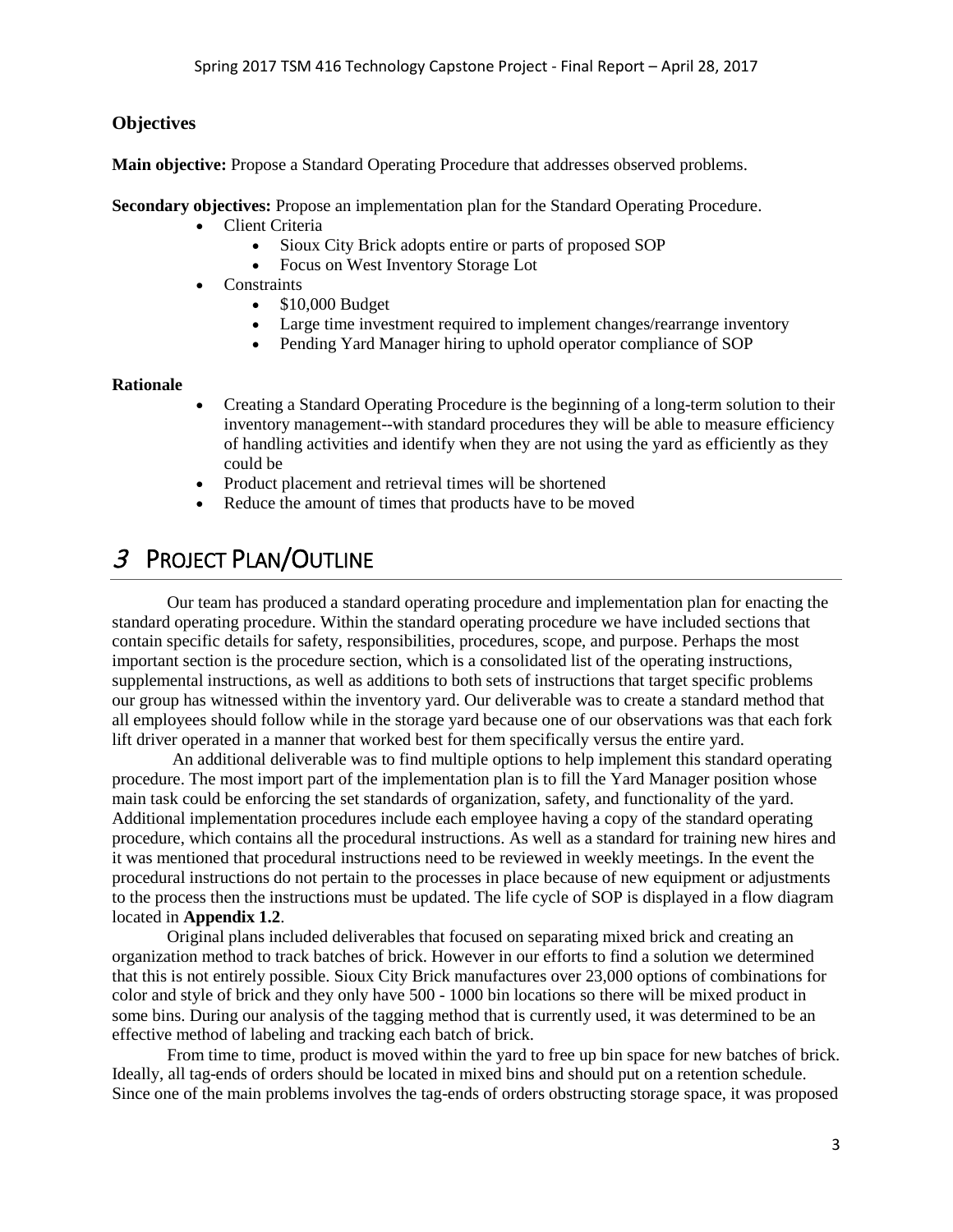#### **Objectives**

**Main objective:** Propose a Standard Operating Procedure that addresses observed problems.

**Secondary objectives:** Propose an implementation plan for the Standard Operating Procedure.

- Client Criteria
	- Sioux City Brick adopts entire or parts of proposed SOP
	- Focus on West Inventory Storage Lot
- Constraints
	- \$10,000 Budget
	- Large time investment required to implement changes/rearrange inventory
	- Pending Yard Manager hiring to uphold operator compliance of SOP

#### **Rationale**

- Creating a Standard Operating Procedure is the beginning of a long-term solution to their inventory management--with standard procedures they will be able to measure efficiency of handling activities and identify when they are not using the yard as efficiently as they could be
- Product placement and retrieval times will be shortened
- Reduce the amount of times that products have to be moved

### 3 PROJECT PLAN/OUTLINE

Our team has produced a standard operating procedure and implementation plan for enacting the standard operating procedure. Within the standard operating procedure we have included sections that contain specific details for safety, responsibilities, procedures, scope, and purpose. Perhaps the most important section is the procedure section, which is a consolidated list of the operating instructions, supplemental instructions, as well as additions to both sets of instructions that target specific problems our group has witnessed within the inventory yard. Our deliverable was to create a standard method that all employees should follow while in the storage yard because one of our observations was that each fork lift driver operated in a manner that worked best for them specifically versus the entire yard.

An additional deliverable was to find multiple options to help implement this standard operating procedure. The most import part of the implementation plan is to fill the Yard Manager position whose main task could be enforcing the set standards of organization, safety, and functionality of the yard. Additional implementation procedures include each employee having a copy of the standard operating procedure, which contains all the procedural instructions. As well as a standard for training new hires and it was mentioned that procedural instructions need to be reviewed in weekly meetings. In the event the procedural instructions do not pertain to the processes in place because of new equipment or adjustments to the process then the instructions must be updated. The life cycle of SOP is displayed in a flow diagram located in **Appendix 1.2**.

Original plans included deliverables that focused on separating mixed brick and creating an organization method to track batches of brick. However in our efforts to find a solution we determined that this is not entirely possible. Sioux City Brick manufactures over 23,000 options of combinations for color and style of brick and they only have 500 - 1000 bin locations so there will be mixed product in some bins. During our analysis of the tagging method that is currently used, it was determined to be an effective method of labeling and tracking each batch of brick.

From time to time, product is moved within the yard to free up bin space for new batches of brick. Ideally, all tag-ends of orders should be located in mixed bins and should put on a retention schedule. Since one of the main problems involves the tag-ends of orders obstructing storage space, it was proposed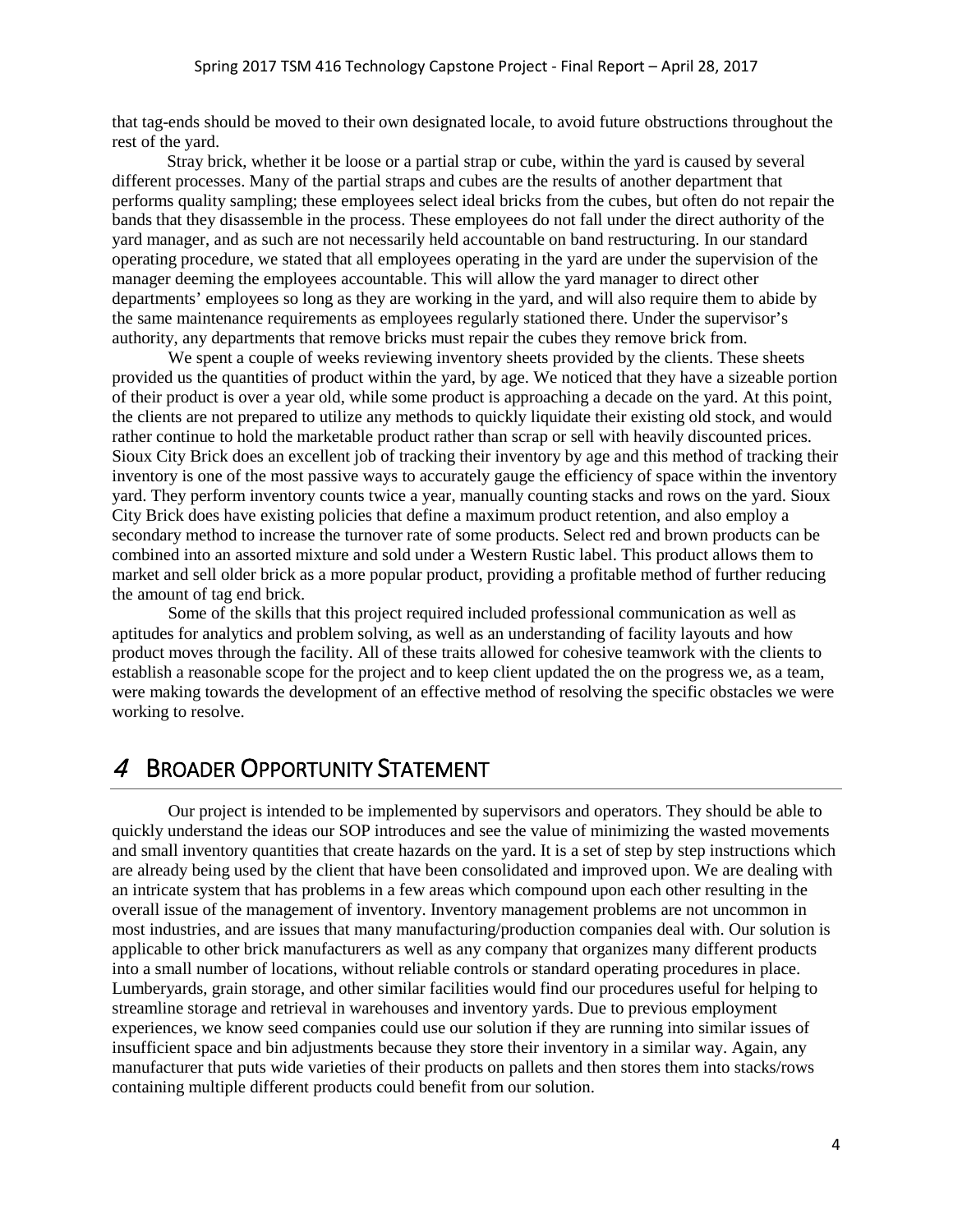that tag-ends should be moved to their own designated locale, to avoid future obstructions throughout the rest of the yard.

Stray brick, whether it be loose or a partial strap or cube, within the yard is caused by several different processes. Many of the partial straps and cubes are the results of another department that performs quality sampling; these employees select ideal bricks from the cubes, but often do not repair the bands that they disassemble in the process. These employees do not fall under the direct authority of the yard manager, and as such are not necessarily held accountable on band restructuring. In our standard operating procedure, we stated that all employees operating in the yard are under the supervision of the manager deeming the employees accountable. This will allow the yard manager to direct other departments' employees so long as they are working in the yard, and will also require them to abide by the same maintenance requirements as employees regularly stationed there. Under the supervisor's authority, any departments that remove bricks must repair the cubes they remove brick from.

We spent a couple of weeks reviewing inventory sheets provided by the clients. These sheets provided us the quantities of product within the yard, by age. We noticed that they have a sizeable portion of their product is over a year old, while some product is approaching a decade on the yard. At this point, the clients are not prepared to utilize any methods to quickly liquidate their existing old stock, and would rather continue to hold the marketable product rather than scrap or sell with heavily discounted prices. Sioux City Brick does an excellent job of tracking their inventory by age and this method of tracking their inventory is one of the most passive ways to accurately gauge the efficiency of space within the inventory yard. They perform inventory counts twice a year, manually counting stacks and rows on the yard. Sioux City Brick does have existing policies that define a maximum product retention, and also employ a secondary method to increase the turnover rate of some products. Select red and brown products can be combined into an assorted mixture and sold under a Western Rustic label. This product allows them to market and sell older brick as a more popular product, providing a profitable method of further reducing the amount of tag end brick.

Some of the skills that this project required included professional communication as well as aptitudes for analytics and problem solving, as well as an understanding of facility layouts and how product moves through the facility. All of these traits allowed for cohesive teamwork with the clients to establish a reasonable scope for the project and to keep client updated the on the progress we, as a team, were making towards the development of an effective method of resolving the specific obstacles we were working to resolve.

### 4 BROADER OPPORTUNITY STATEMENT

Our project is intended to be implemented by supervisors and operators. They should be able to quickly understand the ideas our SOP introduces and see the value of minimizing the wasted movements and small inventory quantities that create hazards on the yard. It is a set of step by step instructions which are already being used by the client that have been consolidated and improved upon. We are dealing with an intricate system that has problems in a few areas which compound upon each other resulting in the overall issue of the management of inventory. Inventory management problems are not uncommon in most industries, and are issues that many manufacturing/production companies deal with. Our solution is applicable to other brick manufacturers as well as any company that organizes many different products into a small number of locations, without reliable controls or standard operating procedures in place. Lumberyards, grain storage, and other similar facilities would find our procedures useful for helping to streamline storage and retrieval in warehouses and inventory yards. Due to previous employment experiences, we know seed companies could use our solution if they are running into similar issues of insufficient space and bin adjustments because they store their inventory in a similar way. Again, any manufacturer that puts wide varieties of their products on pallets and then stores them into stacks/rows containing multiple different products could benefit from our solution.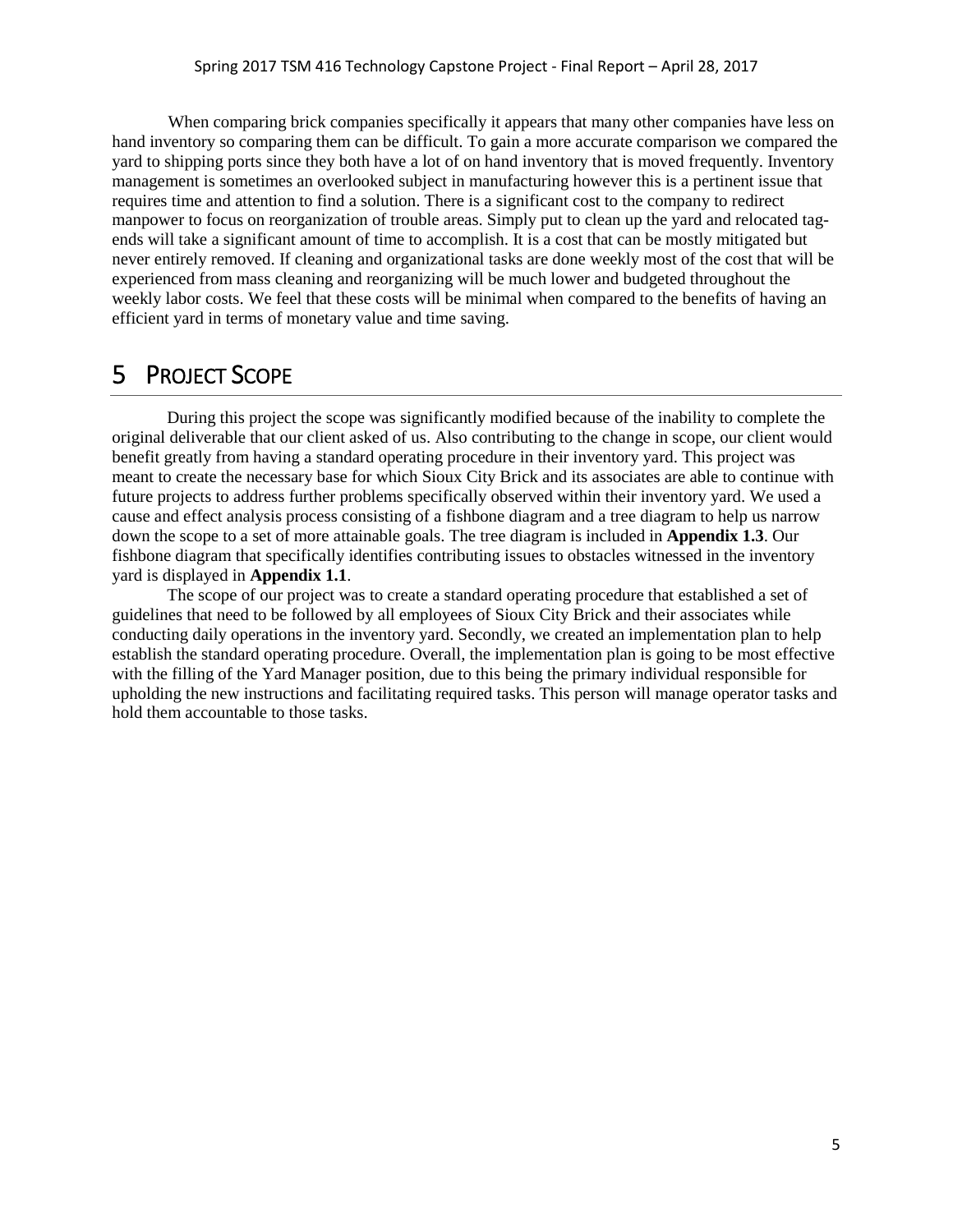When comparing brick companies specifically it appears that many other companies have less on hand inventory so comparing them can be difficult. To gain a more accurate comparison we compared the yard to shipping ports since they both have a lot of on hand inventory that is moved frequently. Inventory management is sometimes an overlooked subject in manufacturing however this is a pertinent issue that requires time and attention to find a solution. There is a significant cost to the company to redirect manpower to focus on reorganization of trouble areas. Simply put to clean up the yard and relocated tagends will take a significant amount of time to accomplish. It is a cost that can be mostly mitigated but never entirely removed. If cleaning and organizational tasks are done weekly most of the cost that will be experienced from mass cleaning and reorganizing will be much lower and budgeted throughout the weekly labor costs. We feel that these costs will be minimal when compared to the benefits of having an efficient yard in terms of monetary value and time saving.

### 5 PROJECT SCOPE

During this project the scope was significantly modified because of the inability to complete the original deliverable that our client asked of us. Also contributing to the change in scope, our client would benefit greatly from having a standard operating procedure in their inventory yard. This project was meant to create the necessary base for which Sioux City Brick and its associates are able to continue with future projects to address further problems specifically observed within their inventory yard. We used a cause and effect analysis process consisting of a fishbone diagram and a tree diagram to help us narrow down the scope to a set of more attainable goals. The tree diagram is included in **Appendix 1.3**. Our fishbone diagram that specifically identifies contributing issues to obstacles witnessed in the inventory yard is displayed in **Appendix 1.1**.

The scope of our project was to create a standard operating procedure that established a set of guidelines that need to be followed by all employees of Sioux City Brick and their associates while conducting daily operations in the inventory yard. Secondly, we created an implementation plan to help establish the standard operating procedure. Overall, the implementation plan is going to be most effective with the filling of the Yard Manager position, due to this being the primary individual responsible for upholding the new instructions and facilitating required tasks. This person will manage operator tasks and hold them accountable to those tasks.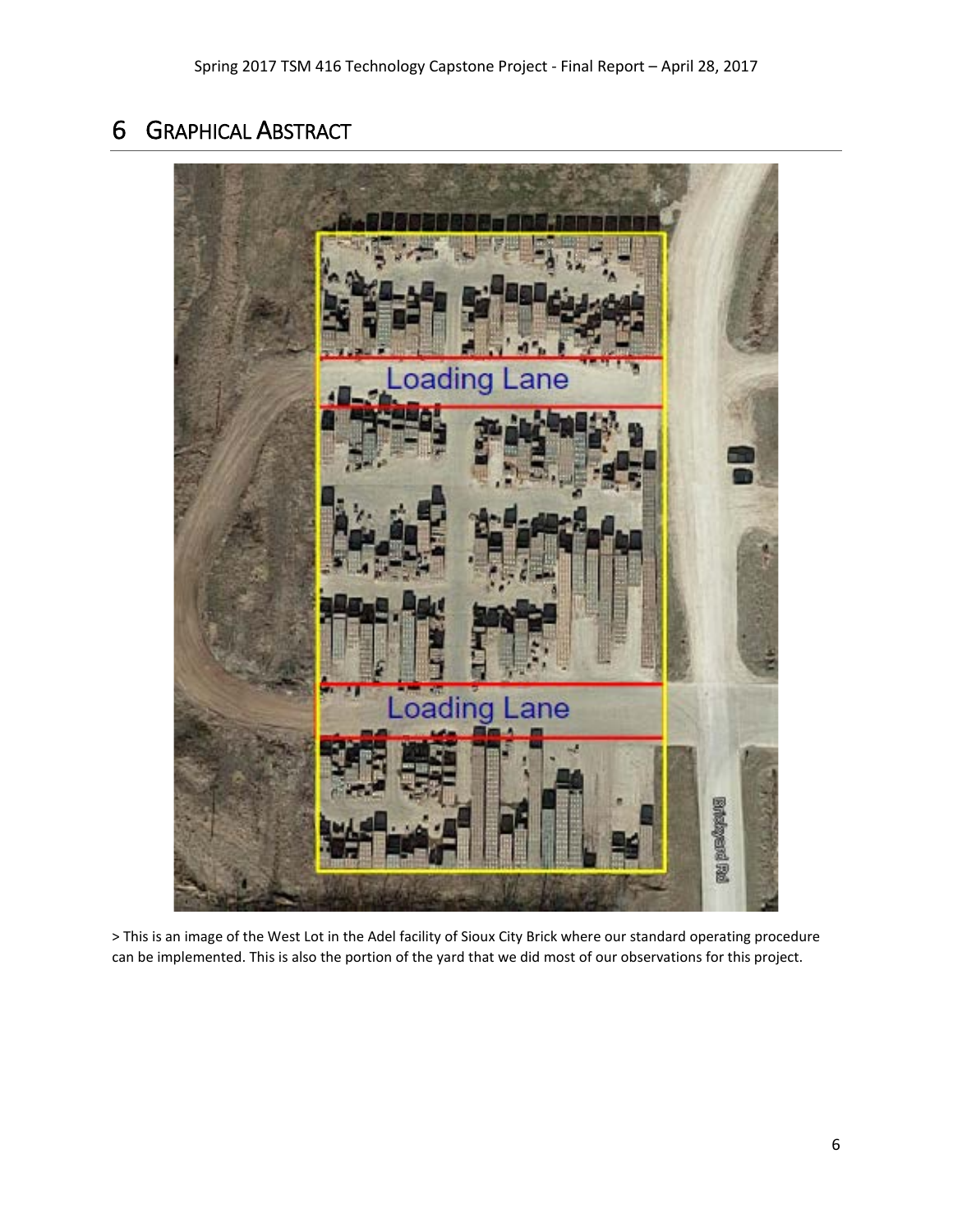## 6 GRAPHICAL ABSTRACT



> This is an image of the West Lot in the Adel facility of Sioux City Brick where our standard operating procedure can be implemented. This is also the portion of the yard that we did most of our observations for this project.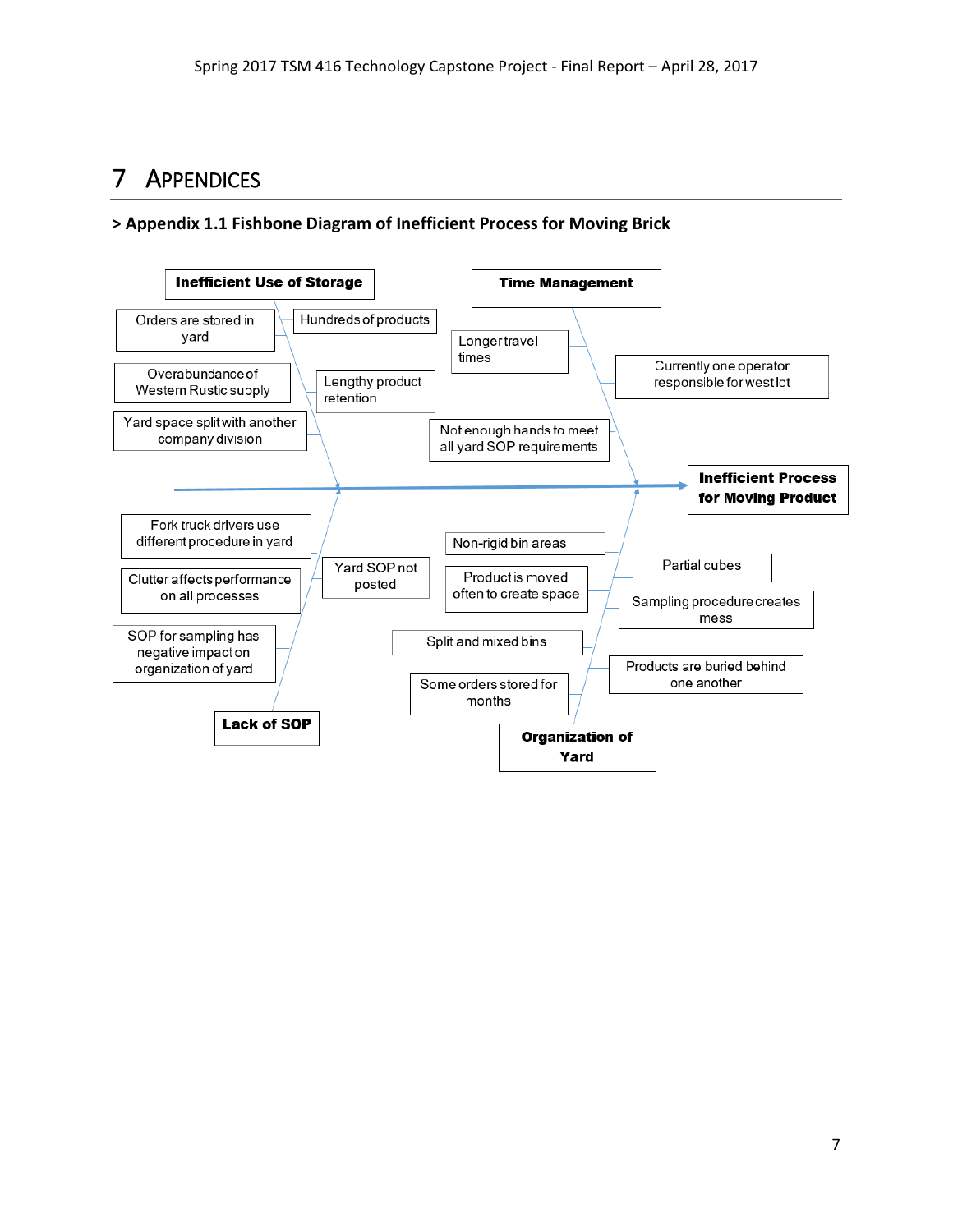## 7 APPENDICES

### **> Appendix 1.1 Fishbone Diagram of Inefficient Process for Moving Brick**